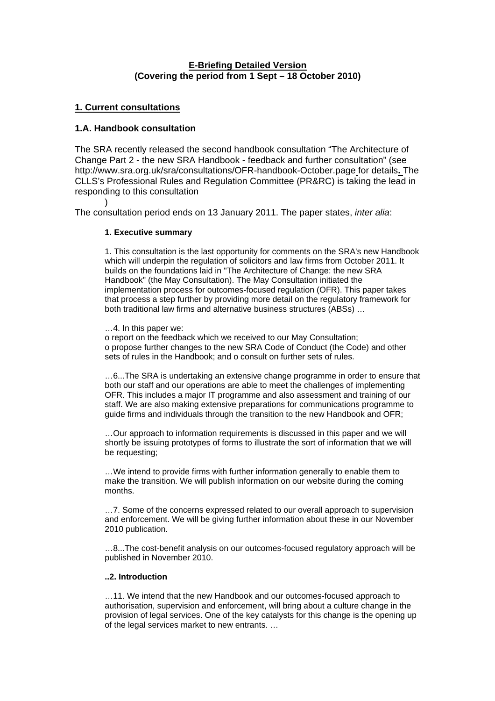# **E-Briefing Detailed Version (Covering the period from 1 Sept – 18 October 2010)**

# **1. Current consultations**

)

# **1.A. [Handbook](http://www.sra.org.uk/sra/sra.page) consultation**

The SRA recently released the second handbook consultation "The Architecture of Change Part 2 - the new SRA Handbook - feedback and further consultation" (see <http://www.sra.org.uk/sra/consultations/OFR-handbook-October.page> for details**.** The CLLS's Professional Rules and Regulation Committee (PR&RC) is taking the lead in responding to this consultation

The consultation period ends on 13 January 2011. The paper states, *inter alia*:

# **1. Executive summary**

1. This consultation is the last opportunity for comments on the SRA's new Handbook which will underpin the regulation of solicitors and law firms from October 2011. It builds on the foundations laid in "The Architecture of Change: the new SRA Handbook" (the May Consultation). The May Consultation initiated the implementation process for outcomes-focused regulation (OFR). This paper takes that process a step further by providing more detail on the regulatory framework for both traditional law firms and alternative business structures (ABSs) …

# …4. In this paper we:

o report on the feedback which we received to our May Consultation; o propose further changes to the new SRA Code of Conduct (the Code) and other sets of rules in the Handbook; and o consult on further sets of rules.

…6...The SRA is undertaking an extensive change programme in order to ensure that both our staff and our operations are able to meet the challenges of implementing OFR. This includes a major IT programme and also assessment and training of our staff. We are also making extensive preparations for communications programme to guide firms and individuals through the transition to the new Handbook and OFR;

…Our approach to information requirements is discussed in this paper and we will shortly be issuing prototypes of forms to illustrate the sort of information that we will be requesting;

…We intend to provide firms with further information generally to enable them to make the transition. We will publish information on our website during the coming months.

…7. Some of the concerns expressed related to our overall approach to supervision and enforcement. We will be giving further information about these in our November 2010 publication.

…8...The cost-benefit analysis on our outcomes-focused regulatory approach will be published in November 2010.

# **..2. Introduction**

…11. We intend that the new Handbook and our outcomes-focused approach to authorisation, supervision and enforcement, will bring about a culture change in the provision of legal services. One of the key catalysts for this change is the opening up of the legal services market to new entrants. …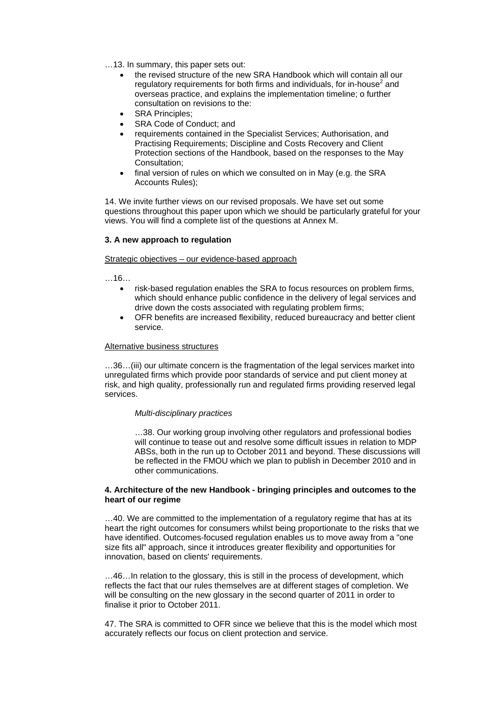- …13. In summary, this paper sets out:
	- the revised structure of the new SRA Handbook which will contain all our regulatory requirements for both firms and individuals, for in-house<sup>2</sup> and overseas practice, and explains the implementation timeline; o further consultation on revisions to the:
	- SRA Principles;
	- SRA Code of Conduct; and
	- requirements contained in the Specialist Services; Authorisation, and Practising Requirements; Discipline and Costs Recovery and Client Protection sections of the Handbook, based on the responses to the May Consultation;
	- final version of rules on which we consulted on in May (e.g. the SRA Accounts Rules);

14. We invite further views on our revised proposals. We have set out some questions throughout this paper upon which we should be particularly grateful for your views. You will find a complete list of the questions at Annex M.

### **3. A new approach to regulation**

Strategic objectives – our evidence-based approach

 $16$ 

- risk-based regulation enables the SRA to focus resources on problem firms, which should enhance public confidence in the delivery of legal services and drive down the costs associated with regulating problem firms;
- OFR benefits are increased flexibility, reduced bureaucracy and better client service.

### Alternative business structures

…36…(iii) our ultimate concern is the fragmentation of the legal services market into unregulated firms which provide poor standards of service and put client money at risk, and high quality, professionally run and regulated firms providing reserved legal services.

#### <sup>T</sup>*Multi-disciplinary practices*

…38. Our working group involving other regulators and professional bodies will continue to tease out and resolve some difficult issues in relation to MDP ABSs, both in the run up to October 2011 and beyond. These discussions will be reflected in the FMOU which we plan to publish in December 2010 and in other communications.

### **4. Architecture of the new Handbook - bringing principles and outcomes to the heart of our regime**

…40. We are committed to the implementation of a regulatory regime that has at its heart the right outcomes for consumers whilst being proportionate to the risks that we have identified. Outcomes-focused regulation enables us to move away from a "one size fits all" approach, since it introduces greater flexibility and opportunities for innovation, based on clients' requirements.

…46…In relation to the glossary, this is still in the process of development, which reflects the fact that our rules themselves are at different stages of completion. We will be consulting on the new glossary in the second quarter of 2011 in order to finalise it prior to October 2011.

47. The SRA is committed to OFR since we believe that this is the model which most accurately reflects our focus on client protection and service.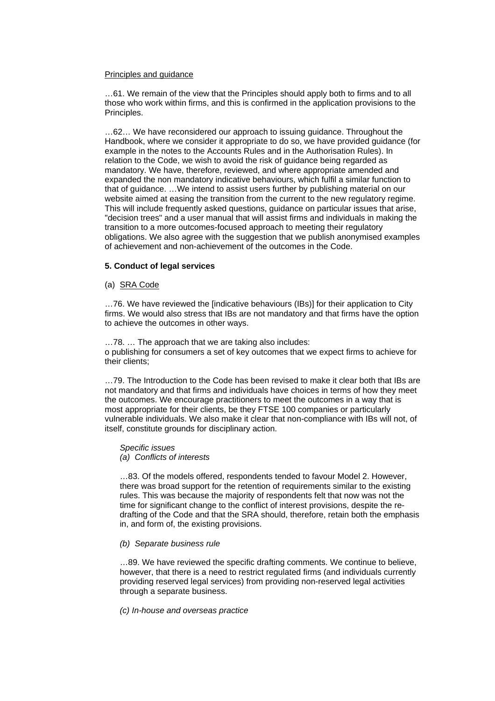#### Principles and guidance

…61. We remain of the view that the Principles should apply both to firms and to all those who work within firms, and this is confirmed in the application provisions to the Principles.

…62… We have reconsidered our approach to issuing guidance. Throughout the Handbook, where we consider it appropriate to do so, we have provided guidance (for example in the notes to the Accounts Rules and in the Authorisation Rules). In relation to the Code, we wish to avoid the risk of guidance being regarded as mandatory. We have, therefore, reviewed, and where appropriate amended and expanded the non mandatory indicative behaviours, which fulfil a similar function to that of guidance. …We intend to assist users further by publishing material on our website aimed at easing the transition from the current to the new regulatory regime. This will include frequently asked questions, guidance on particular issues that arise, "decision trees" and a user manual that will assist firms and individuals in making the transition to a more outcomes-focused approach to meeting their regulatory obligations. We also agree with the suggestion that we publish anonymised examples of achievement and non-achievement of the outcomes in the Code.

### **5. Conduct of legal services**

#### (a) SRA Code

…76. We have reviewed the [indicative behaviours (IBs)] for their application to City firms. We would also stress that IBs are not mandatory and that firms have the option to achieve the outcomes in other ways.

…78. … The approach that we are taking also includes: o publishing for consumers a set of key outcomes that we expect firms to achieve for their clients;

…79. The Introduction to the Code has been revised to make it clear both that IBs are not mandatory and that firms and individuals have choices in terms of how they meet the outcomes. We encourage practitioners to meet the outcomes in a way that is most appropriate for their clients, be they FTSE 100 companies or particularly vulnerable individuals. We also make it clear that non-compliance with IBs will not, of itself, constitute grounds for disciplinary action.

*Specific issues* 

*(a) Conflicts of interests* 

…83. Of the models offered, respondents tended to favour Model 2. However, there was broad support for the retention of requirements similar to the existing rules. This was because the majority of respondents felt that now was not the time for significant change to the conflict of interest provisions, despite the redrafting of the Code and that the SRA should, therefore, retain both the emphasis in, and form of, the existing provisions.

### *(b) Separate business rule*

…89. We have reviewed the specific drafting comments. We continue to believe, however, that there is a need to restrict regulated firms (and individuals currently providing reserved legal services) from providing non-reserved legal activities through a separate business.

### *(c) In-house and overseas practice*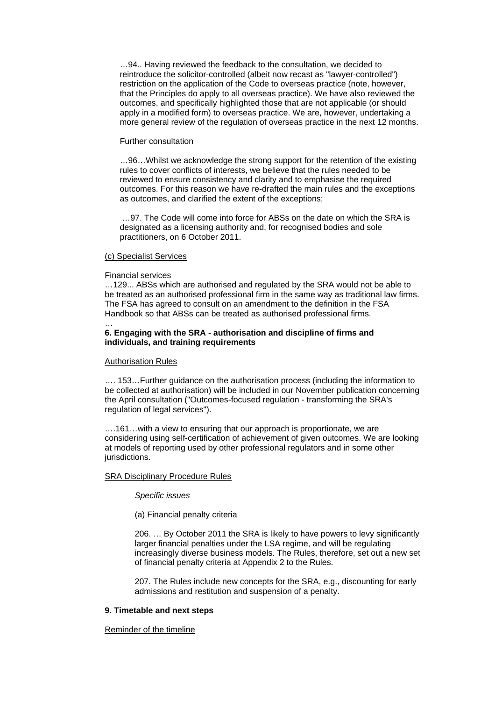…94.. Having reviewed the feedback to the consultation, we decided to reintroduce the solicitor-controlled (albeit now recast as "lawyer-controlled") restriction on the application of the Code to overseas practice (note, however, that the Principles do apply to all overseas practice). We have also reviewed the outcomes, and specifically highlighted those that are not applicable (or should apply in a modified form) to overseas practice. We are, however, undertaking a more general review of the regulation of overseas practice in the next 12 months.

### Further consultation

…96…Whilst we acknowledge the strong support for the retention of the existing rules to cover conflicts of interests, we believe that the rules needed to be reviewed to ensure consistency and clarity and to emphasise the required outcomes. For this reason we have re-drafted the main rules and the exceptions as outcomes, and clarified the extent of the exceptions;

 …97. The Code will come into force for ABSs on the date on which the SRA is designated as a licensing authority and, for recognised bodies and sole practitioners, on 6 October 2011.

### (c) Specialist Services

#### Financial services

…

…129... ABSs which are authorised and regulated by the SRA would not be able to be treated as an authorised professional firm in the same way as traditional law firms. The FSA has agreed to consult on an amendment to the definition in the FSA Handbook so that ABSs can be treated as authorised professional firms.

# **6. Engaging with the SRA - authorisation and discipline of firms and individuals, and training requirements**

#### Authorisation Rules

…. 153…Further guidance on the authorisation process (including the information to be collected at authorisation) will be included in our November publication concerning the April consultation ("Outcomes-focused regulation - transforming the SRA's regulation of legal services").

….161…with a view to ensuring that our approach is proportionate, we are considering using self-certification of achievement of given outcomes. We are looking at models of reporting used by other professional regulators and in some other jurisdictions.

### SRA Disciplinary Procedure Rules

*Specific issues* 

(a) Financial penalty criteria

206. … By October 2011 the SRA is likely to have powers to levy significantly larger financial penalties under the LSA regime, and will be regulating increasingly diverse business models. The Rules, therefore, set out a new set of financial penalty criteria at Appendix 2 to the Rules.

207. The Rules include new concepts for the SRA, e.g., discounting for early admissions and restitution and suspension of a penalty.

### **9. Timetable and next steps**

#### Reminder of the timeline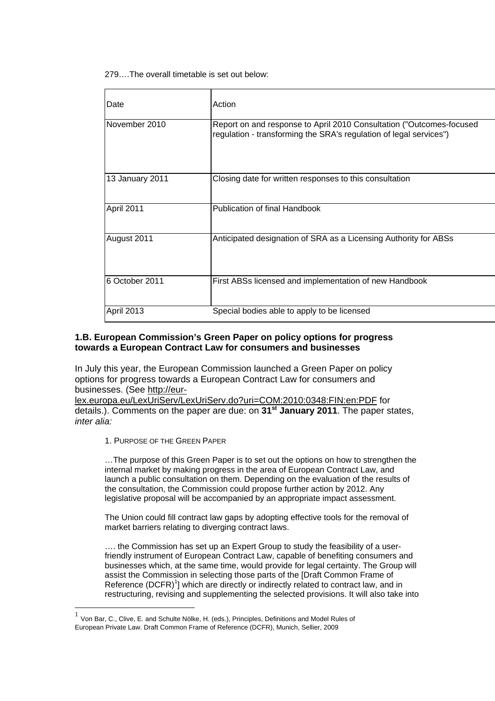279….The overall timetable is set out below:

| Date              | Action                                                                                                                                     |
|-------------------|--------------------------------------------------------------------------------------------------------------------------------------------|
| November 2010     | Report on and response to April 2010 Consultation ("Outcomes-focused<br>regulation - transforming the SRA's regulation of legal services") |
| 13 January 2011   | Closing date for written responses to this consultation                                                                                    |
| April 2011        | Publication of final Handbook                                                                                                              |
| August 2011       | Anticipated designation of SRA as a Licensing Authority for ABSs                                                                           |
| 6 October 2011    | First ABSs licensed and implementation of new Handbook                                                                                     |
| <b>April 2013</b> | Special bodies able to apply to be licensed                                                                                                |

# **1.B. European Commission's Green Paper on policy options for progress towards a European Contract Law for consumers and businesses**

In July this year, the European Commission launched a Green Paper on policy options for progress towards a European Contract Law for consumers and businesses. (See [http://eur-](http://eur-lex.europa.eu/LexUriServ/LexUriServ.do?uri=COM:2010:0348:FIN:en:PDF)

[lex.europa.eu/LexUriServ/LexUriServ.do?uri=COM:2010:0348:FIN:en:PDF](http://eur-lex.europa.eu/LexUriServ/LexUriServ.do?uri=COM:2010:0348:FIN:en:PDF) for details.). Comments on the paper are due: on **31st January 2011**. The paper states, *inter alia:* 

1. PURPOSE OF THE GREEN PAPER

 $\overline{a}$ 

…The purpose of this Green Paper is to set out the options on how to strengthen the internal market by making progress in the area of European Contract Law, and launch a public consultation on them. Depending on the evaluation of the results of the consultation, the Commission could propose further action by 2012. Any legislative proposal will be accompanied by an appropriate impact assessment.

The Union could fill contract law gaps by adopting effective tools for the removal of market barriers relating to diverging contract laws.

.... the Commission has set up an Expert Group to study the feasibility of a userfriendly instrument of European Contract Law, capable of benefiting consumers and businesses which, at the same time, would provide for legal certainty. The Group will assist the Commission in selecting those parts of the [Draft Common Frame of Reference  $(DCFR)^1$  $(DCFR)^1$ ] which are directly or indirectly related to contract law, and in restructuring, revising and supplementing the selected provisions. It will also take into

<span id="page-4-0"></span> $1$  Von Bar, C., Clive, E. and Schulte Nölke, H. (eds.), Principles, Definitions and Model Rules of European Private Law. Draft Common Frame of Reference (DCFR), Munich, Sellier, 2009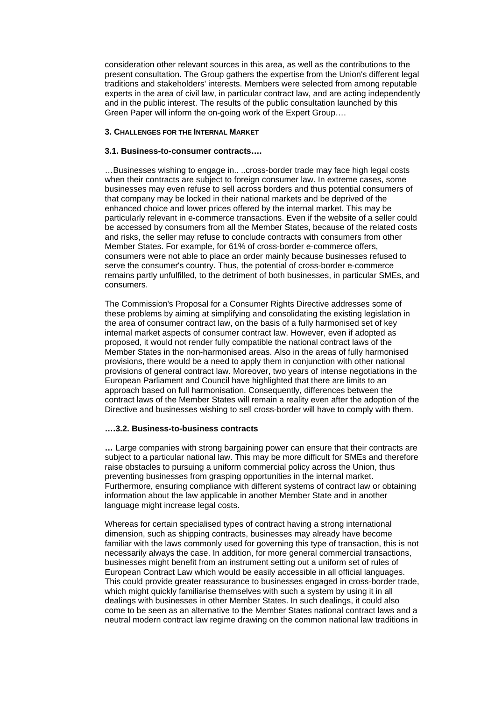consideration other relevant sources in this area, as well as the contributions to the present consultation. The Group gathers the expertise from the Union's different legal traditions and stakeholders' interests. Members were selected from among reputable experts in the area of civil law, in particular contract law, and are acting independently and in the public interest. The results of the public consultation launched by this Green Paper will inform the on-going work of the Expert Group….

## **3. CHALLENGES FOR THE INTERNAL MARKET**

# **3.1. Business-to-consumer contracts….**

…Businesses wishing to engage in.. ..cross-border trade may face high legal costs when their contracts are subject to foreign consumer law. In extreme cases, some businesses may even refuse to sell across borders and thus potential consumers of that company may be locked in their national markets and be deprived of the enhanced choice and lower prices offered by the internal market. This may be particularly relevant in e-commerce transactions. Even if the website of a seller could be accessed by consumers from all the Member States, because of the related costs and risks, the seller may refuse to conclude contracts with consumers from other Member States. For example, for 61% of cross-border e-commerce offers, consumers were not able to place an order mainly because businesses refused to serve the consumer's country. Thus, the potential of cross-border e-commerce remains partly unfulfilled, to the detriment of both businesses, in particular SMEs, and consumers.

The Commission's Proposal for a Consumer Rights Directive addresses some of these problems by aiming at simplifying and consolidating the existing legislation in the area of consumer contract law, on the basis of a fully harmonised set of key internal market aspects of consumer contract law. However, even if adopted as proposed, it would not render fully compatible the national contract laws of the Member States in the non-harmonised areas. Also in the areas of fully harmonised provisions, there would be a need to apply them in conjunction with other national provisions of general contract law. Moreover, two years of intense negotiations in the European Parliament and Council have highlighted that there are limits to an approach based on full harmonisation. Consequently, differences between the contract laws of the Member States will remain a reality even after the adoption of the Directive and businesses wishing to sell cross-border will have to comply with them.

### **….3.2. Business-to-business contracts**

**…** Large companies with strong bargaining power can ensure that their contracts are subject to a particular national law. This may be more difficult for SMEs and therefore raise obstacles to pursuing a uniform commercial policy across the Union, thus preventing businesses from grasping opportunities in the internal market. Furthermore, ensuring compliance with different systems of contract law or obtaining information about the law applicable in another Member State and in another language might increase legal costs.

Whereas for certain specialised types of contract having a strong international dimension, such as shipping contracts, businesses may already have become familiar with the laws commonly used for governing this type of transaction, this is not necessarily always the case. In addition, for more general commercial transactions, businesses might benefit from an instrument setting out a uniform set of rules of European Contract Law which would be easily accessible in all official languages. This could provide greater reassurance to businesses engaged in cross-border trade, which might quickly familiarise themselves with such a system by using it in all dealings with businesses in other Member States. In such dealings, it could also come to be seen as an alternative to the Member States national contract laws and a neutral modern contract law regime drawing on the common national law traditions in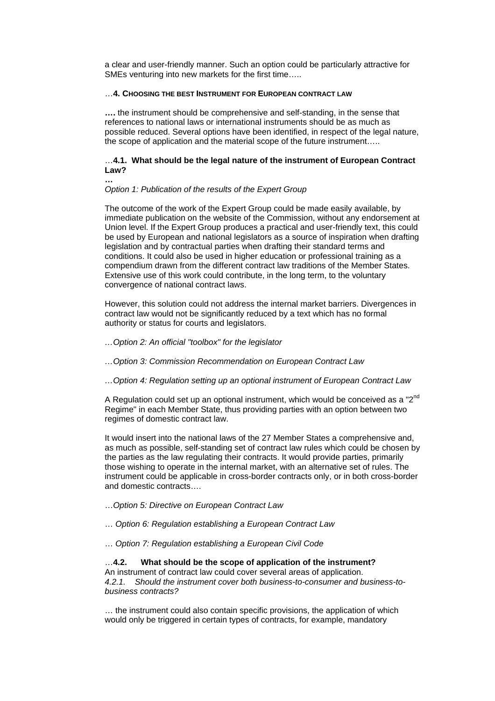a clear and user-friendly manner. Such an option could be particularly attractive for SMEs venturing into new markets for the first time…..

#### …**4. CHOOSING THE BEST INSTRUMENT FOR EUROPEAN CONTRACT LAW**

**….** the instrument should be comprehensive and self-standing, in the sense that references to national laws or international instruments should be as much as possible reduced. Several options have been identified, in respect of the legal nature, the scope of application and the material scope of the future instrument…..

## …**4.1. What should be the legal nature of the instrument of European Contract Law?**

#### *Option 1: Publication of the results of the Expert Group*

**…** 

The outcome of the work of the Expert Group could be made easily available, by immediate publication on the website of the Commission, without any endorsement at Union level. If the Expert Group produces a practical and user-friendly text, this could be used by European and national legislators as a source of inspiration when drafting legislation and by contractual parties when drafting their standard terms and conditions. It could also be used in higher education or professional training as a compendium drawn from the different contract law traditions of the Member States. Extensive use of this work could contribute, in the long term, to the voluntary convergence of national contract laws.

However, this solution could not address the internal market barriers. Divergences in contract law would not be significantly reduced by a text which has no formal authority or status for courts and legislators.

#### *…Option 2: An official "toolbox" for the legislator*

*…Option 3: Commission Recommendation on European Contract Law* 

#### *…Option 4: Regulation setting up an optional instrument of European Contract Law*

A Regulation could set up an optional instrument, which would be conceived as a "2<sup>nd</sup> Regime" in each Member State, thus providing parties with an option between two regimes of domestic contract law.

It would insert into the national laws of the 27 Member States a comprehensive and, as much as possible, self-standing set of contract law rules which could be chosen by the parties as the law regulating their contracts. It would provide parties, primarily those wishing to operate in the internal market, with an alternative set of rules. The instrument could be applicable in cross-border contracts only, or in both cross-border and domestic contracts….

- …*Option 5: Directive on European Contract Law*
- … *Option 6: Regulation establishing a European Contract Law*
- … *Option 7: Regulation establishing a European Civil Code*

# …**4.2. What should be the scope of application of the instrument?**

An instrument of contract law could cover several areas of application. *4.2.1. Should the instrument cover both business-to-consumer and business-tobusiness contracts?* 

… the instrument could also contain specific provisions, the application of which would only be triggered in certain types of contracts, for example, mandatory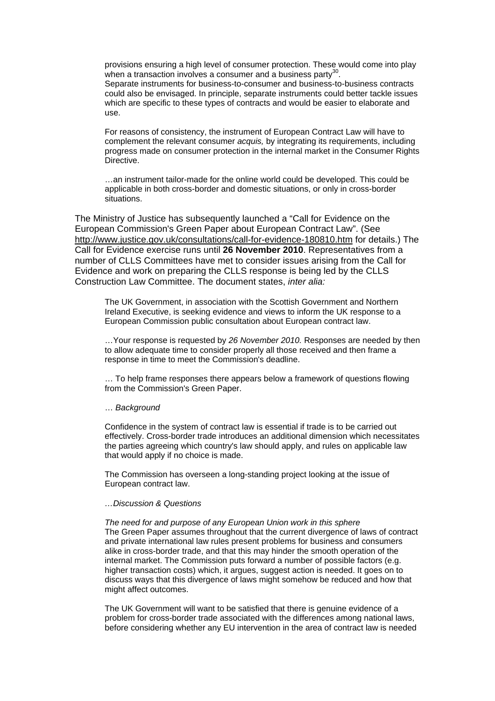provisions ensuring a high level of consumer protection. These would come into play when a transaction involves a consumer and a business party<sup>30</sup>.

Separate instruments for business-to-consumer and business-to-business contracts could also be envisaged. In principle, separate instruments could better tackle issues which are specific to these types of contracts and would be easier to elaborate and use.

For reasons of consistency, the instrument of European Contract Law will have to complement the relevant consumer *acquis,* by integrating its requirements, including progress made on consumer protection in the internal market in the Consumer Rights Directive.

…an instrument tailor-made for the online world could be developed. This could be applicable in both cross-border and domestic situations, or only in cross-border situations.

The Ministry of Justice has subsequently launched a "Call for Evidence on the European Commission's Green Paper about European Contract Law". (See <http://www.justice.gov.uk/consultations/call-for-evidence-180810.htm> for details.) The Call for Evidence exercise runs until **26 November 2010**. Representatives from a number of CLLS Committees have met to consider issues arising from the Call for Evidence and work on preparing the CLLS response is being led by the CLLS Construction Law Committee. The document states, *inter alia:* 

The UK Government, in association with the Scottish Government and Northern Ireland Executive, is seeking evidence and views to inform the UK response to a European Commission public consultation about European contract law.

…Your response is requested by *26 November 2010.* Responses are needed by then to allow adequate time to consider properly all those received and then frame a response in time to meet the Commission's deadline.

… To help frame responses there appears below a framework of questions flowing from the Commission's Green Paper.

#### … *Background*

Confidence in the system of contract law is essential if trade is to be carried out effectively. Cross-border trade introduces an additional dimension which necessitates the parties agreeing which country's law should apply, and rules on applicable law that would apply if no choice is made.

The Commission has overseen a long-standing project looking at the issue of European contract law.

### *…Discussion & Questions*

*The need for and purpose of any European Union work in this sphere*  The Green Paper assumes throughout that the current divergence of laws of contract and private international law rules present problems for business and consumers alike in cross-border trade, and that this may hinder the smooth operation of the internal market. The Commission puts forward a number of possible factors (e.g. higher transaction costs) which, it argues, suggest action is needed. It goes on to discuss ways that this divergence of laws might somehow be reduced and how that might affect outcomes.

The UK Government will want to be satisfied that there is genuine evidence of a problem for cross-border trade associated with the differences among national laws, before considering whether any EU intervention in the area of contract law is needed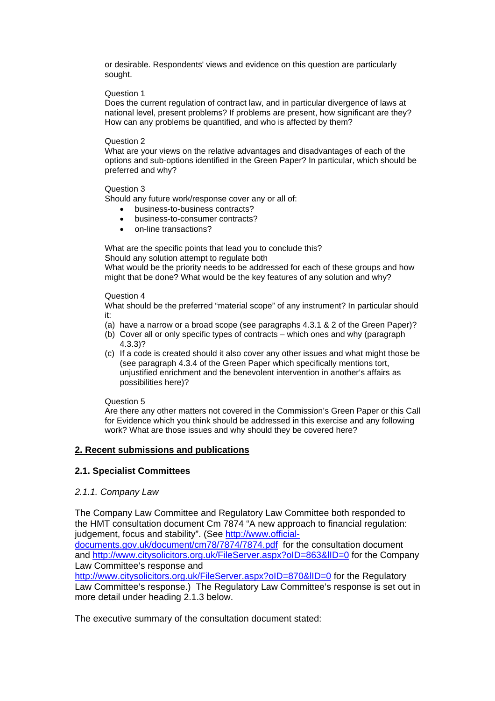or desirable. Respondents' views and evidence on this question are particularly sought.

# Question 1

Does the current regulation of contract law, and in particular divergence of laws at national level, present problems? If problems are present, how significant are they? How can any problems be quantified, and who is affected by them?

# Question 2

What are your views on the relative advantages and disadvantages of each of the options and sub-options identified in the Green Paper? In particular, which should be preferred and why?

# Question 3

Should any future work/response cover any or all of:

- business-to-business contracts?
- business-to-consumer contracts?
- on-line transactions?

What are the specific points that lead you to conclude this?

Should any solution attempt to regulate both

What would be the priority needs to be addressed for each of these groups and how might that be done? What would be the key features of any solution and why?

# Question 4

What should be the preferred "material scope" of any instrument? In particular should it:

- (a) have a narrow or a broad scope (see paragraphs 4.3.1 & 2 of the Green Paper)?
- (b) Cover all or only specific types of contracts which ones and why (paragraph 4.3.3)?
- (c) If a code is created should it also cover any other issues and what might those be (see paragraph 4.3.4 of the Green Paper which specifically mentions tort, unjustified enrichment and the benevolent intervention in another's affairs as possibilities here)?

# Question 5

Are there any other matters not covered in the Commission's Green Paper or this Call for Evidence which you think should be addressed in this exercise and any following work? What are those issues and why should they be covered here?

# <sup>U</sup>**2. Recent submissions and publications**

# **2.1. Specialist Committees**

# *2.1.1. Company Law*

The Company Law Committee and Regulatory Law Committee both responded to the HMT consultation document Cm 7874 "A new approach to financial regulation: judgement, focus and stability". (See http://www.official-

documents.gov.uk/document/cm78/7874/7874.pdf for the consultation document and http://www.citysolicitors.org.uk/FileServer.aspx?oID=863&IID=0 for the Company Law Committee's response and

http://www.citysolicitors.org.uk/FileServer.aspx?oID=870&IID=0 for the Regulatory Law Committee's response.) The Regulatory Law Committee's response is set out in more detail under heading 2.1.3 below.

The executive summary of the consultation document stated: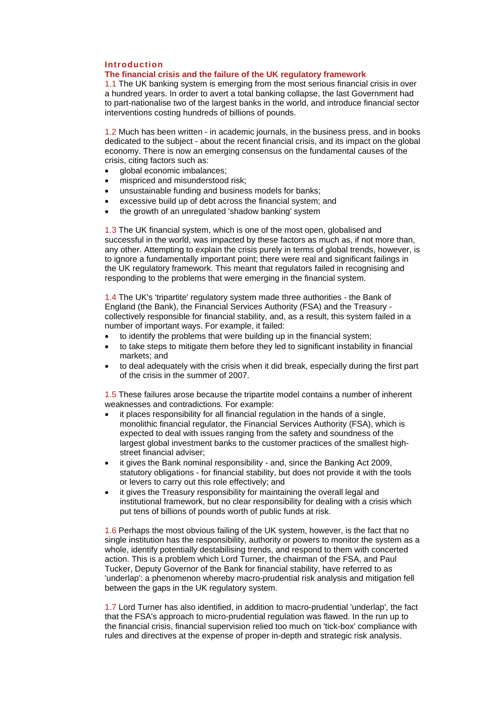# <sup>T</sup>**Introduction**

### <sup>T</sup>**The financial crisis and the failure of the UK regulatory framework**

1.1 The UK banking system is emerging from the most serious financial crisis in over a hundred years. In order to avert a total banking collapse, the last Government had to part-nationalise two of the largest banks in the world, and introduce financial sector interventions costing hundreds of billions of pounds.

1.2 Much has been written - in academic journals, in the business press, and in books dedicated to the subject - about the recent financial crisis, and its impact on the global economy. There is now an emerging consensus on the fundamental causes of the crisis, citing factors such as:

- global economic imbalances;
- mispriced and misunderstood risk;
- unsustainable funding and business models for banks;
- excessive build up of debt across the financial system; and
- the growth of an unregulated 'shadow banking' system

1.3 The UK financial system, which is one of the most open, globalised and successful in the world, was impacted by these factors as much as, if not more than, any other. Attempting to explain the crisis purely in terms of global trends, however, is to ignore a fundamentally important point; there were real and significant failings in the UK regulatory framework. This meant that regulators failed in recognising and responding to the problems that were emerging in the financial system.

1.4 The UK's 'tripartite' regulatory system made three authorities - the Bank of England (the Bank), the Financial Services Authority (FSA) and the Treasury collectively responsible for financial stability, and, as a result, this system failed in a number of important ways. For example, it failed:

- to identify the problems that were building up in the financial system;
- to take steps to mitigate them before they led to significant instability in financial markets; and
- to deal adequately with the crisis when it did break, especially during the first part of the crisis in the summer of 2007.

1.5 These failures arose because the tripartite model contains a number of inherent weaknesses and contradictions. For example:

- it places responsibility for all financial regulation in the hands of a single, monolithic financial regulator, the Financial Services Authority (FSA), which is expected to deal with issues ranging from the safety and soundness of the largest global investment banks to the customer practices of the smallest highstreet financial adviser;
- it gives the Bank nominal responsibility and, since the Banking Act 2009, statutory obligations - for financial stability, but does not provide it with the tools or levers to carry out this role effectively; and
- it gives the Treasury responsibility for maintaining the overall legal and institutional framework, but no clear responsibility for dealing with a crisis which put tens of billions of pounds worth of public funds at risk.

1.6 Perhaps the most obvious failing of the UK system, however, is the fact that no single institution has the responsibility, authority or powers to monitor the system as a whole, identify potentially destabilising trends, and respond to them with concerted action. This is a problem which Lord Turner, the chairman of the FSA, and Paul Tucker, Deputy Governor of the Bank for financial stability, have referred to as 'underlap': a phenomenon whereby macro-prudential risk analysis and mitigation fell between the gaps in the UK regulatory system.

1.7 Lord Turner has also identified, in addition to macro-prudential 'underlap', the fact that the FSA's approach to micro-prudential regulation was flawed. In the run up to the financial crisis, financial supervision relied too much on 'tick-box' compliance with rules and directives at the expense of proper in-depth and strategic risk analysis.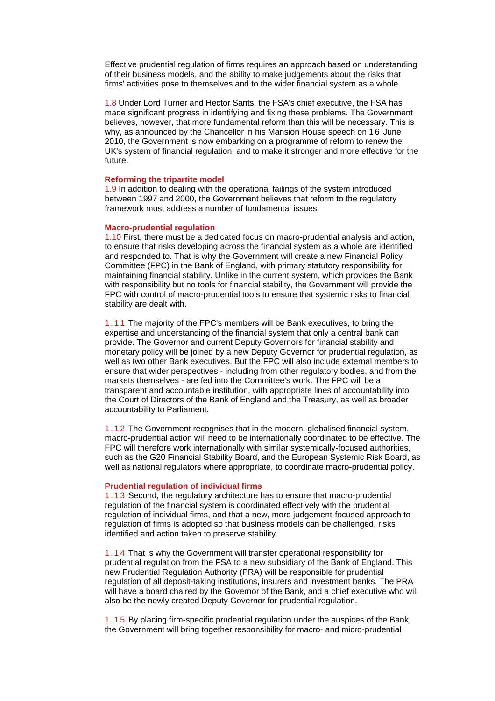Effective prudential regulation of firms requires an approach based on understanding of their business models, and the ability to make judgements about the risks that firms' activities pose to themselves and to the wider financial system as a whole.

1.8 Under Lord Turner and Hector Sants, the FSA's chief executive, the FSA has made significant progress in identifying and fixing these problems. The Government believes, however, that more fundamental reform than this will be necessary. This is why, as announced by the Chancellor in his Mansion House speech on 16 June 2010, the Government is now embarking on a programme of reform to renew the UK's system of financial regulation, and to make it stronger and more effective for the future.

#### **Reforming the tripartite model**

1.9 In addition to dealing with the operational failings of the system introduced between 1997 and 2000, the Government believes that reform to the regulatory framework must address a number of fundamental issues.

#### **Macro-prudential regulation**

1.10 First, there must be a dedicated focus on macro-prudential analysis and action, to ensure that risks developing across the financial system as a whole are identified and responded to. That is why the Government will create a new Financial Policy Committee (FPC) in the Bank of England, with primary statutory responsibility for maintaining financial stability. Unlike in the current system, which provides the Bank with responsibility but no tools for financial stability, the Government will provide the FPC with control of macro-prudential tools to ensure that systemic risks to financial stability are dealt with.

1.11 The majority of the FPC's members will be Bank executives, to bring the expertise and understanding of the financial system that only a central bank can provide. The Governor and current Deputy Governors for financial stability and monetary policy will be joined by a new Deputy Governor for prudential regulation, as well as two other Bank executives. But the FPC will also include external members to ensure that wider perspectives - including from other regulatory bodies, and from the markets themselves - are fed into the Committee's work. The FPC will be a transparent and accountable institution, with appropriate lines of accountability into the Court of Directors of the Bank of England and the Treasury, as well as broader accountability to Parliament.

1.12 The Government recognises that in the modern, globalised financial system, macro-prudential action will need to be internationally coordinated to be effective. The FPC will therefore work internationally with similar systemically-focused authorities, such as the G20 Financial Stability Board, and the European Systemic Risk Board, as well as national regulators where appropriate, to coordinate macro-prudential policy.

#### **Prudential regulation of individual firms**

1.13 Second, the regulatory architecture has to ensure that macro-prudential regulation of the financial system is coordinated effectively with the prudential regulation of individual firms, and that a new, more judgement-focused approach to regulation of firms is adopted so that business models can be challenged, risks identified and action taken to preserve stability.

1.14 That is why the Government will transfer operational responsibility for prudential regulation from the FSA to a new subsidiary of the Bank of England. This new Prudential Regulation Authority (PRA) will be responsible for prudential regulation of all deposit-taking institutions, insurers and investment banks. The PRA will have a board chaired by the Governor of the Bank, and a chief executive who will also be the newly created Deputy Governor for prudential regulation.

1.15 By placing firm-specific prudential regulation under the auspices of the Bank, the Government will bring together responsibility for macro- and micro-prudential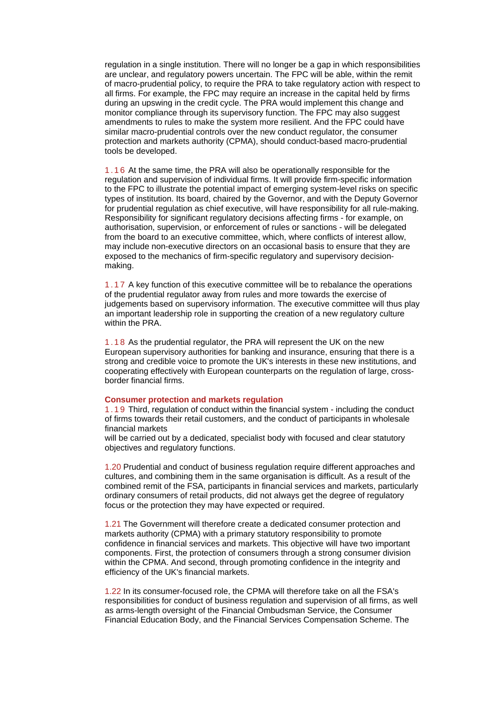regulation in a single institution. There will no longer be a gap in which responsibilities are unclear, and regulatory powers uncertain. The FPC will be able, within the remit of macro-prudential policy, to require the PRA to take regulatory action with respect to all firms. For example, the FPC may require an increase in the capital held by firms during an upswing in the credit cycle. The PRA would implement this change and monitor compliance through its supervisory function. The FPC may also suggest amendments to rules to make the system more resilient. And the FPC could have similar macro-prudential controls over the new conduct regulator, the consumer protection and markets authority (CPMA), should conduct-based macro-prudential tools be developed.

1.16 At the same time, the PRA will also be operationally responsible for the regulation and supervision of individual firms. It will provide firm-specific information to the FPC to illustrate the potential impact of emerging system-level risks on specific types of institution. Its board, chaired by the Governor, and with the Deputy Governor for prudential regulation as chief executive, will have responsibility for all rule-making. Responsibility for significant regulatory decisions affecting firms - for example, on authorisation, supervision, or enforcement of rules or sanctions - will be delegated from the board to an executive committee, which, where conflicts of interest allow, may include non-executive directors on an occasional basis to ensure that they are exposed to the mechanics of firm-specific regulatory and supervisory decisionmaking.

1.17 A key function of this executive committee will be to rebalance the operations of the prudential regulator away from rules and more towards the exercise of judgements based on supervisory information. The executive committee will thus play an important leadership role in supporting the creation of a new regulatory culture within the PRA.

1.18 As the prudential regulator, the PRA will represent the UK on the new European supervisory authorities for banking and insurance, ensuring that there is a strong and credible voice to promote the UK's interests in these new institutions, and cooperating effectively with European counterparts on the regulation of large, crossborder financial firms.

#### **Consumer protection and markets regulation**

1.19 Third, regulation of conduct within the financial system - including the conduct of firms towards their retail customers, and the conduct of participants in wholesale financial markets

will be carried out by a dedicated, specialist body with focused and clear statutory objectives and regulatory functions.

1.20 Prudential and conduct of business regulation require different approaches and cultures, and combining them in the same organisation is difficult. As a result of the combined remit of the FSA, participants in financial services and markets, particularly ordinary consumers of retail products, did not always get the degree of regulatory focus or the protection they may have expected or required.

1.21 The Government will therefore create a dedicated consumer protection and markets authority (CPMA) with a primary statutory responsibility to promote confidence in financial services and markets. This objective will have two important components. First, the protection of consumers through a strong consumer division within the CPMA. And second, through promoting confidence in the integrity and efficiency of the UK's financial markets.

1.22 In its consumer-focused role, the CPMA will therefore take on all the FSA's responsibilities for conduct of business regulation and supervision of all firms, as well as arms-length oversight of the Financial Ombudsman Service, the Consumer Financial Education Body, and the Financial Services Compensation Scheme. The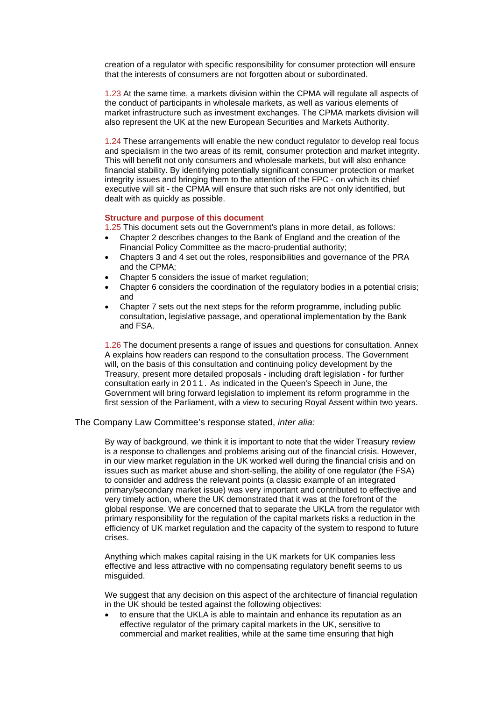creation of a regulator with specific responsibility for consumer protection will ensure that the interests of consumers are not forgotten about or subordinated.

1.23 At the same time, a markets division within the CPMA will regulate all aspects of the conduct of participants in wholesale markets, as well as various elements of market infrastructure such as investment exchanges. The CPMA markets division will also represent the UK at the new European Securities and Markets Authority.

1.24 These arrangements will enable the new conduct regulator to develop real focus and specialism in the two areas of its remit, consumer protection and market integrity. This will benefit not only consumers and wholesale markets, but will also enhance financial stability. By identifying potentially significant consumer protection or market integrity issues and bringing them to the attention of the FPC - on which its chief executive will sit - the CPMA will ensure that such risks are not only identified, but dealt with as quickly as possible.

#### **Structure and purpose of this document**

1.25 This document sets out the Government's plans in more detail, as follows:

- Chapter 2 describes changes to the Bank of England and the creation of the Financial Policy Committee as the macro-prudential authority;
- Chapters 3 and 4 set out the roles, responsibilities and governance of the PRA and the CPMA;
- Chapter 5 considers the issue of market regulation;
- Chapter 6 considers the coordination of the regulatory bodies in a potential crisis; and
- Chapter 7 sets out the next steps for the reform programme, including public consultation, legislative passage, and operational implementation by the Bank and FSA.

1.26 The document presents a range of issues and questions for consultation. Annex A explains how readers can respond to the consultation process. The Government will, on the basis of this consultation and continuing policy development by the Treasury, present more detailed proposals - including draft legislation - for further consultation early in 2 0 1 1 . As indicated in the Queen's Speech in June, the Government will bring forward legislation to implement its reform programme in the first session of the Parliament, with a view to securing Royal Assent within two years.

# The Company Law Committee's response stated, *inter alia:*

By way of background, we think it is important to note that the wider Treasury review is a response to challenges and problems arising out of the financial crisis. However, in our view market regulation in the UK worked well during the financial crisis and on issues such as market abuse and short-selling, the ability of one regulator (the FSA) to consider and address the relevant points (a classic example of an integrated primary/secondary market issue) was very important and contributed to effective and very timely action, where the UK demonstrated that it was at the forefront of the global response. We are concerned that to separate the UKLA from the regulator with primary responsibility for the regulation of the capital markets risks a reduction in the efficiency of UK market regulation and the capacity of the system to respond to future crises.

Anything which makes capital raising in the UK markets for UK companies less effective and less attractive with no compensating regulatory benefit seems to us misguided.

We suggest that any decision on this aspect of the architecture of financial regulation in the UK should be tested against the following objectives:

• to ensure that the UKLA is able to maintain and enhance its reputation as an effective regulator of the primary capital markets in the UK, sensitive to commercial and market realities, while at the same time ensuring that high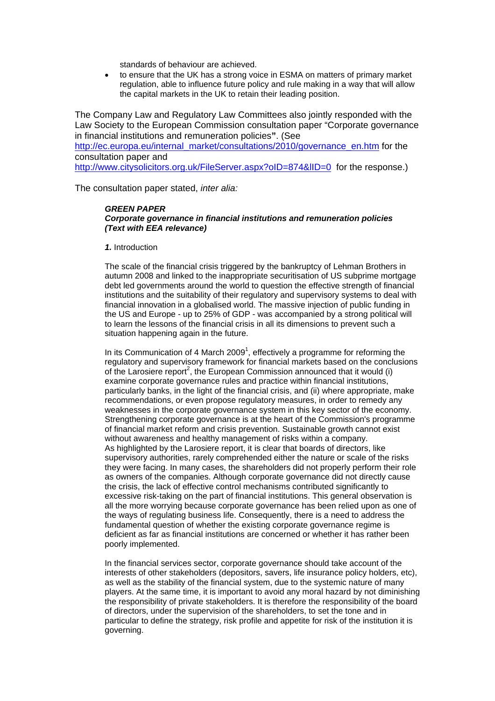standards of behaviour are achieved.

• to ensure that the UK has a strong voice in ESMA on matters of primary market regulation, able to influence future policy and rule making in a way that will allow the capital markets in the UK to retain their leading position.

The Company Law and Regulatory Law Committees also jointly responded with the Law Society to the European Commission consultation paper "Corporate governance in financial institutions and remuneration policies**"**. (See http://ec.europa.eu/internal\_market/consultations/2010/governance\_en.htm for the consultation paper and http://www.citysolicitors.org.uk/FileServer.aspx?oID=874&lID=0 for the response.)

The consultation paper stated, *inter alia:* 

# <sup>T</sup>*GREEN PAPER*

#### *Corporate governance in financial institutions and remuneration policies (Text with EEA relevance)*

#### 1. Introduction

The scale of the financial crisis triggered by the bankruptcy of Lehman Brothers in autumn 2008 and linked to the inappropriate securitisation of US subprime mortgage debt led governments around the world to question the effective strength of financial institutions and the suitability of their regulatory and supervisory systems to deal with financial innovation in a globalised world. The massive injection of public funding in the US and Europe - up to 25% of GDP - was accompanied by a strong political will to learn the lessons of the financial crisis in all its dimensions to prevent such a situation happening again in the future.

In its Communication of 4 March 2009<sup>1</sup>, effectively a programme for reforming the regulatory and supervisory framework for financial markets based on the conclusions of the Larosiere report<sup>2</sup>, the European Commission announced that it would (i) examine corporate governance rules and practice within financial institutions, particularly banks, in the light of the financial crisis, and (ii) where appropriate, make recommendations, or even propose regulatory measures, in order to remedy any weaknesses in the corporate governance system in this key sector of the economy. Strengthening corporate governance is at the heart of the Commission's programme of financial market reform and crisis prevention. Sustainable growth cannot exist without awareness and healthy management of risks within a company. As highlighted by the Larosiere report, it is clear that boards of directors, like supervisory authorities, rarely comprehended either the nature or scale of the risks they were facing. In many cases, the shareholders did not properly perform their role as owners of the companies. Although corporate governance did not directly cause the crisis, the lack of effective control mechanisms contributed significantly to excessive risk-taking on the part of financial institutions. This general observation is all the more worrying because corporate governance has been relied upon as one of the ways of regulating business life. Consequently, there is a need to address the fundamental question of whether the existing corporate governance regime is deficient as far as financial institutions are concerned or whether it has rather been poorly implemented.

In the financial services sector, corporate governance should take account of the interests of other stakeholders (depositors, savers, life insurance policy holders, etc), as well as the stability of the financial system, due to the systemic nature of many players. At the same time, it is important to avoid any moral hazard by not diminishing the responsibility of private stakeholders. It is therefore the responsibility of the board of directors, under the supervision of the shareholders, to set the tone and in particular to define the strategy, risk profile and appetite for risk of the institution it is governing.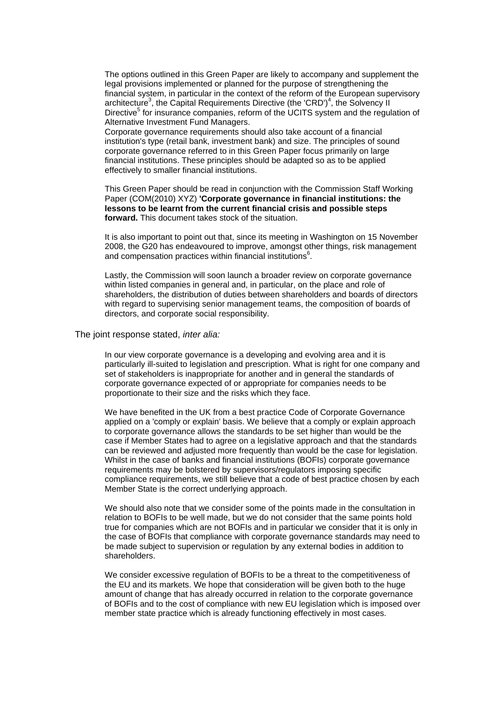The options outlined in this Green Paper are likely to accompany and supplement the legal provisions implemented or planned for the purpose of strengthening the financial system, in particular in the context of the reform of the European supervisory architecture<sup>3</sup>, the Capital Requirements Directive (the 'CRD')<sup>4</sup>, the Solvency II Directive<sup>5</sup> for insurance companies, reform of the UCITS system and the regulation of Alternative Investment Fund Managers.

Corporate governance requirements should also take account of a financial institution's type (retail bank, investment bank) and size. The principles of sound corporate governance referred to in this Green Paper focus primarily on large financial institutions. These principles should be adapted so as to be applied effectively to smaller financial institutions.

This Green Paper should be read in conjunction with the Commission Staff Working Paper (COM(2010) XYZ) **'Corporate governance in financial institutions: the lessons to be learnt from the current financial crisis and possible steps forward.** This document takes stock of the situation.

It is also important to point out that, since its meeting in Washington on 15 November 2008, the G20 has endeavoured to improve, amongst other things, risk management and compensation practices within financial institutions $^6$ .

Lastly, the Commission will soon launch a broader review on corporate governance within listed companies in general and, in particular, on the place and role of shareholders, the distribution of duties between shareholders and boards of directors with regard to supervising senior management teams, the composition of boards of directors, and corporate social responsibility.

The joint response stated, *inter alia:* 

In our view corporate governance is a developing and evolving area and it is particularly ill-suited to legislation and prescription. What is right for one company and set of stakeholders is inappropriate for another and in general the standards of corporate governance expected of or appropriate for companies needs to be proportionate to their size and the risks which they face.

We have benefited in the UK from a best practice Code of Corporate Governance applied on a 'comply or explain' basis. We believe that a comply or explain approach to corporate governance allows the standards to be set higher than would be the case if Member States had to agree on a legislative approach and that the standards can be reviewed and adjusted more frequently than would be the case for legislation. Whilst in the case of banks and financial institutions (BOFIs) corporate governance requirements may be bolstered by supervisors/regulators imposing specific compliance requirements, we still believe that a code of best practice chosen by each Member State is the correct underlying approach.

We should also note that we consider some of the points made in the consultation in relation to BOFIs to be well made, but we do not consider that the same points hold true for companies which are not BOFIs and in particular we consider that it is only in the case of BOFIs that compliance with corporate governance standards may need to be made subject to supervision or regulation by any external bodies in addition to shareholders.

We consider excessive regulation of BOFIs to be a threat to the competitiveness of the EU and its markets. We hope that consideration will be given both to the huge amount of change that has already occurred in relation to the corporate governance of BOFIs and to the cost of compliance with new EU legislation which is imposed over member state practice which is already functioning effectively in most cases.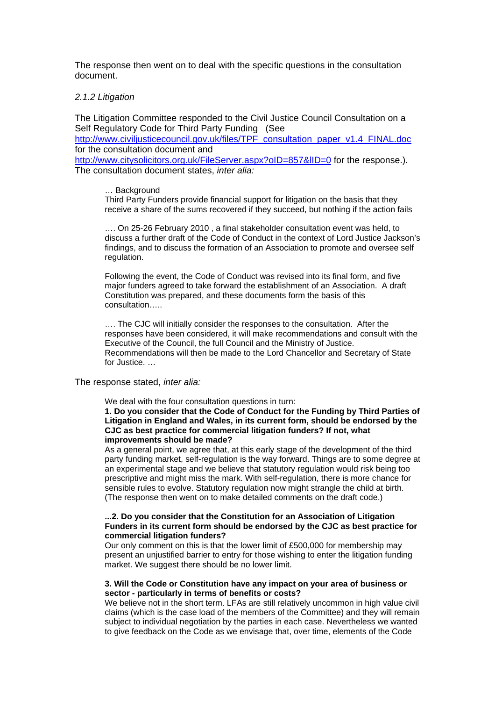The response then went on to deal with the specific questions in the consultation document.

### *2.1.2 Litigation*

The Litigation Committee responded to the Civil Justice Council Consultation on a Self Regulatory Code for Third Party Funding (See

http://www.civiliusticecouncil.gov.uk/files/TPF\_consultation\_paper\_v1.4\_FINAL.doc for the consultation document and

http://www.citysolicitors.org.uk/FileServer.aspx?oID=857&IID=0 for the response.). The consultation document states, *inter alia:* 

#### … Background

Third Party Funders provide financial support for litigation on the basis that they receive a share of the sums recovered if they succeed, but nothing if the action fails

…. On 25-26 February 2010 , a final stakeholder consultation event was held, to discuss a further draft of the Code of Conduct in the context of Lord Justice Jackson's findings, and to discuss the formation of an Association to promote and oversee self regulation.

Following the event, the Code of Conduct was revised into its final form, and five major funders agreed to take forward the establishment of an Association. A draft Constitution was prepared, and these documents form the basis of this consultation…..

…. The CJC will initially consider the responses to the consultation. After the responses have been considered, it will make recommendations and consult with the Executive of the Council, the full Council and the Ministry of Justice. Recommendations will then be made to the Lord Chancellor and Secretary of State for Justice. …

# The response stated, *inter alia:*

We deal with the four consultation questions in turn:

**1. Do you consider that the Code of Conduct for the Funding by Third Parties of Litigation in England and Wales, in its current form, should be endorsed by the CJC as best practice for commercial litigation funders? If not, what improvements should be made?** 

As a general point, we agree that, at this early stage of the development of the third party funding market, self-regulation is the way forward. Things are to some degree at an experimental stage and we believe that statutory regulation would risk being too prescriptive and might miss the mark. With self-regulation, there is more chance for sensible rules to evolve. Statutory regulation now might strangle the child at birth. (The response then went on to make detailed comments on the draft code.)

### **...2. Do you consider that the Constitution for an Association of Litigation Funders in its current form should be endorsed by the CJC as best practice for commercial litigation funders?**

Our only comment on this is that the lower limit of £500,000 for membership may present an unjustified barrier to entry for those wishing to enter the litigation funding market. We suggest there should be no lower limit.

#### **3. Will the Code or Constitution have any impact on your area of business or sector - particularly in terms of benefits or costs?**

We believe not in the short term. LFAs are still relatively uncommon in high value civil claims (which is the case load of the members of the Committee) and they will remain subject to individual negotiation by the parties in each case. Nevertheless we wanted to give feedback on the Code as we envisage that, over time, elements of the Code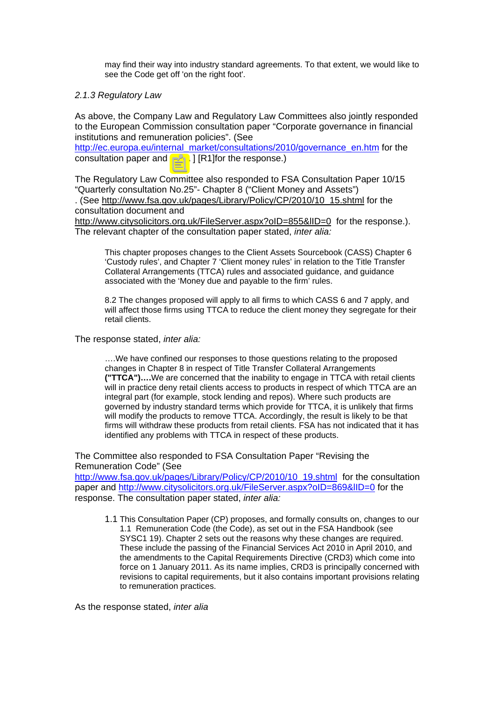may find their way into industry standard agreements. To that extent, we would like to see the Code get off 'on the right foot'.

# *2.1.3 Regulatory Law*

As above, the Company Law and Regulatory Law Committees also jointly responded to the European Commission consultation paper "Corporate governance in financial institutions and remuneration policies". (See

[http://ec.europa.eu/internal\\_market/consultations/2010/governance\\_en.htm](http://ec.europa.eu/internal_market/consultations/2010/governance_en.htm) for the consultation paper and [TBA ] [R1]for the response.)

The Regulatory Law Committee also responded to FSA Consultation Paper 10/15 "Quarterly consultation No.25"- Chapter 8 ("Client Money and Assets")

. (See [http://www.fsa.gov.uk/pages/Library/Policy/CP/2010/10\\_15.shtml](http://www.fsa.gov.uk/pages/Library/Policy/CP/2010/10_15.shtml) for the consultation document and

http://www.citysolicitors.org.uk/FileServer.aspx?oID=855&IID=0 for the response.). The relevant chapter of the consultation paper stated, *inter alia:*

This chapter proposes changes to the Client Assets Sourcebook (CASS) Chapter 6 'Custody rules', and Chapter 7 'Client money rules' in relation to the Title Transfer Collateral Arrangements (TTCA) rules and associated guidance, and guidance associated with the 'Money due and payable to the firm' rules.

8.2 The changes proposed will apply to all firms to which CASS 6 and 7 apply, and will affect those firms using TTCA to reduce the client money they segregate for their retail clients.

The response stated, *inter alia:* 

….We have confined our responses to those questions relating to the proposed changes in Chapter 8 in respect of Title Transfer Collateral Arrangements **("TTCA")….**We are concerned that the inability to engage in TTCA with retail clients will in practice deny retail clients access to products in respect of which TTCA are an integral part (for example, stock lending and repos). Where such products are governed by industry standard terms which provide for TTCA, it is unlikely that firms will modify the products to remove TTCA. Accordingly, the result is likely to be that firms will withdraw these products from retail clients. FSA has not indicated that it has identified any problems with TTCA in respect of these products.

The Committee also responded to FSA Consultation Paper "Revising the Remuneration Code" (See

[http://www.fsa.gov.uk/pages/Library/Policy/CP/2010/10\\_19.shtml](http://www.fsa.gov.uk/pages/Library/Policy/CP/2010/10_19.shtml) for the consultation paper and <http://www.citysolicitors.org.uk/FileServer.aspx?oID=869&lID=0>for the response. The consultation paper stated, *inter alia:* 

1.1 This Consultation Paper (CP) proposes, and formally consults on, changes to our 1.1 Remuneration Code (the Code), as set out in the FSA Handbook (see SYSC1 19). Chapter 2 sets out the reasons why these changes are required. These include the passing of the Financial Services Act 2010 in April 2010, and the amendments to the Capital Requirements Directive (CRD3) which come into force on 1 January 2011. As its name implies, CRD3 is principally concerned with revisions to capital requirements, but it also contains important provisions relating to remuneration practices.

As the response stated, *inter alia*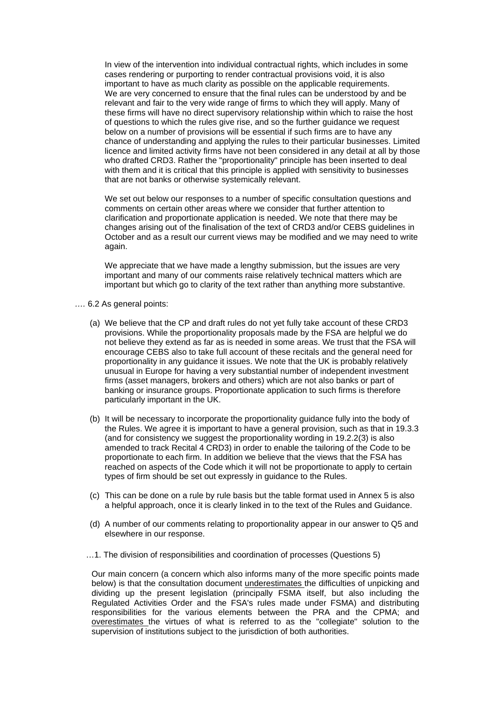In view of the intervention into individual contractual rights, which includes in some cases rendering or purporting to render contractual provisions void, it is also important to have as much clarity as possible on the applicable requirements. We are very concerned to ensure that the final rules can be understood by and be relevant and fair to the very wide range of firms to which they will apply. Many of these firms will have no direct supervisory relationship within which to raise the host of questions to which the rules give rise, and so the further guidance we request below on a number of provisions will be essential if such firms are to have any chance of understanding and applying the rules to their particular businesses. Limited licence and limited activity firms have not been considered in any detail at all by those who drafted CRD3. Rather the "proportionality" principle has been inserted to deal with them and it is critical that this principle is applied with sensitivity to businesses that are not banks or otherwise systemically relevant.

We set out below our responses to a number of specific consultation questions and comments on certain other areas where we consider that further attention to clarification and proportionate application is needed. We note that there may be changes arising out of the finalisation of the text of CRD3 and/or CEBS guidelines in October and as a result our current views may be modified and we may need to write again.

We appreciate that we have made a lengthy submission, but the issues are very important and many of our comments raise relatively technical matters which are important but which go to clarity of the text rather than anything more substantive.

- *….* 6.2 As general points:
	- (a) We believe that the CP and draft rules do not yet fully take account of these CRD3 provisions. While the proportionality proposals made by the FSA are helpful we do not believe they extend as far as is needed in some areas. We trust that the FSA will encourage CEBS also to take full account of these recitals and the general need for proportionality in any guidance it issues. We note that the UK is probably relatively unusual in Europe for having a very substantial number of independent investment firms (asset managers, brokers and others) which are not also banks or part of banking or insurance groups. Proportionate application to such firms is therefore particularly important in the UK.
	- (b) It will be necessary to incorporate the proportionality guidance fully into the body of the Rules. We agree it is important to have a general provision, such as that in 19.3.3 (and for consistency we suggest the proportionality wording in 19.2.2(3) is also amended to track Recital 4 CRD3) in order to enable the tailoring of the Code to be proportionate to each firm. In addition we believe that the views that the FSA has reached on aspects of the Code which it will not be proportionate to apply to certain types of firm should be set out expressly in guidance to the Rules.
	- (c) This can be done on a rule by rule basis but the table format used in Annex 5 is also a helpful approach, once it is clearly linked in to the text of the Rules and Guidance.
	- (d) A number of our comments relating to proportionality appear in our answer to Q5 and elsewhere in our response.
	- …1. The division of responsibilities and coordination of processes (Questions 5)

Our main concern (a concern which also informs many of the more specific points made below) is that the consultation document underestimates the difficulties of unpicking and dividing up the present legislation (principally FSMA itself, but also including the Regulated Activities Order and the FSA's rules made under FSMA) and distributing responsibilities for the various elements between the PRA and the CPMA; and overestimates the virtues of what is referred to as the "collegiate" solution to the supervision of institutions subject to the jurisdiction of both authorities.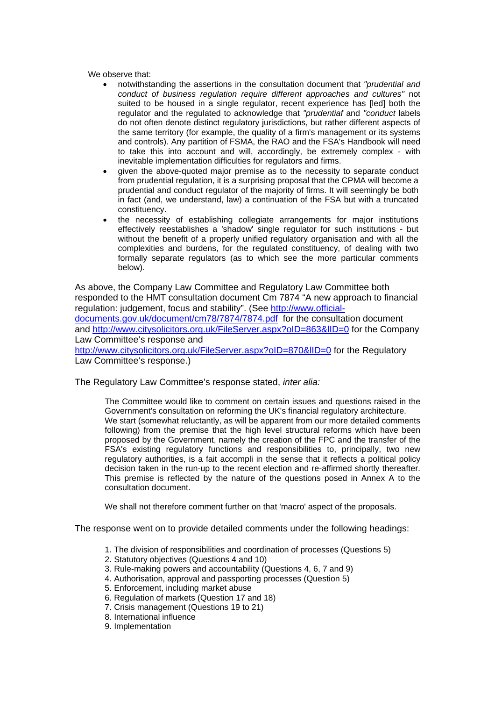We observe that:

- notwithstanding the assertions in the consultation document that *"prudential and conduct of business regulation require different approaches and cultures"* not suited to be housed in a single regulator, recent experience has [led] both the regulator and the regulated to acknowledge that *"prudentiaf* and *"conduct* labels do not often denote distinct regulatory jurisdictions, but rather different aspects of the same territory (for example, the quality of a firm's management or its systems and controls). Any partition of FSMA, the RAO and the FSA's Handbook will need to take this into account and will, accordingly, be extremely complex - with inevitable implementation difficulties for regulators and firms.
- given the above-quoted major premise as to the necessity to separate conduct from prudential regulation, it is a surprising proposal that the CPMA will become a prudential and conduct regulator of the majority of firms. It will seemingly be both in fact (and, we understand, law) a continuation of the FSA but with a truncated constituency.
- the necessity of establishing collegiate arrangements for major institutions effectively reestablishes a 'shadow' single regulator for such institutions - but without the benefit of a properly unified regulatory organisation and with all the complexities and burdens, for the regulated constituency, of dealing with two formally separate regulators (as to which see the more particular comments below).

As above, the Company Law Committee and Regulatory Law Committee both responded to the HMT consultation document Cm 7874 "A new approach to financial regulation: judgement, focus and stability". (See http://www.officialdocuments.gov.uk/document/cm78/7874/7874.pdf for the consultation document and http://www.citysolicitors.org.uk/FileServer.aspx?oID=863&IID=0 for the Company Law Committee's response and http://www.citysolicitors.org.uk/FileServer.aspx?oID=870&IID=0</u> for the Regulatory

Law Committee's response.)

The Regulatory Law Committee's response stated, *inter alia:* 

The Committee would like to comment on certain issues and questions raised in the Government's consultation on reforming the UK's financial regulatory architecture. We start (somewhat reluctantly, as will be apparent from our more detailed comments following) from the premise that the high level structural reforms which have been proposed by the Government, namely the creation of the FPC and the transfer of the FSA's existing regulatory functions and responsibilities to, principally, two new regulatory authorities, is a fait accompli in the sense that it reflects a political policy decision taken in the run-up to the recent election and re-affirmed shortly thereafter. This premise is reflected by the nature of the questions posed in Annex A to the consultation document.

We shall not therefore comment further on that 'macro' aspect of the proposals.

The response went on to provide detailed comments under the following headings:

- 1. The division of responsibilities and coordination of processes (Questions 5)
- 2. Statutory objectives (Questions 4 and 10)
- 3. Rule-making powers and accountability (Questions 4, 6, 7 and 9)
- 4. Authorisation, approval and passporting processes (Question 5)
- 5. Enforcement, including market abuse
- 6. Regulation of markets (Question 17 and 18)
- 7. Crisis management (Questions 19 to 21)
- 8. International influence
- 9. Implementation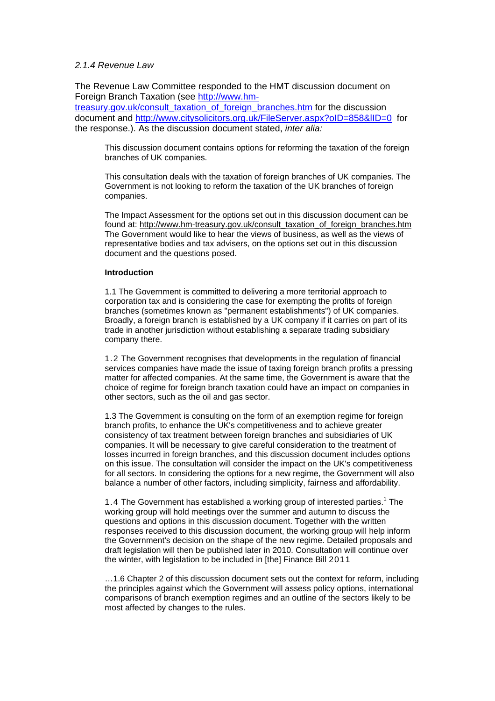# *2.1.4 Revenue Law*

The Revenue Law Committee responded to the HMT discussion document on Foreign Branch Taxation (see [http://www.hm-](http://www.hm-treasury.gov.uk/consult_taxation_of_foreign_branches.htm)

[treasury.gov.uk/consult\\_taxation\\_of\\_foreign\\_branches.htm](http://www.hm-treasury.gov.uk/consult_taxation_of_foreign_branches.htm) for the discussion document and <http://www.citysolicitors.org.uk/FileServer.aspx?oID=858&lID=0>for the response.). As the discussion document stated, *inter alia:*

This discussion document contains options for reforming the taxation of the foreign branches of UK companies.

This consultation deals with the taxation of foreign branches of UK companies. The Government is not looking to reform the taxation of the UK branches of foreign companies.

The Impact Assessment for the options set out in this discussion document can be found at: [http://www.hm-treasury.gov.uk/consult\\_taxation\\_of\\_foreign\\_branches.htm](http://www.hm-treasury.gov.uk/consult_taxation_of_foreign_branches.htm) The Government would like to hear the views of business, as well as the views of representative bodies and tax advisers, on the options set out in this discussion document and the questions posed.

# **Introduction**

1.1 The Government is committed to delivering a more territorial approach to corporation tax and is considering the case for exempting the profits of foreign branches (sometimes known as "permanent establishments") of UK companies. Broadly, a foreign branch is established by a UK company if it carries on part of its trade in another jurisdiction without establishing a separate trading subsidiary company there.

1.2 The Government recognises that developments in the regulation of financial services companies have made the issue of taxing foreign branch profits a pressing matter for affected companies. At the same time, the Government is aware that the choice of regime for foreign branch taxation could have an impact on companies in other sectors, such as the oil and gas sector.

1.3 The Government is consulting on the form of an exemption regime for foreign branch profits, to enhance the UK's competitiveness and to achieve greater consistency of tax treatment between foreign branches and subsidiaries of UK companies. It will be necessary to give careful consideration to the treatment of losses incurred in foreign branches, and this discussion document includes options on this issue. The consultation will consider the impact on the UK's competitiveness for all sectors. In considering the options for a new regime, the Government will also balance a number of other factors, including simplicity, fairness and affordability.

1.4 The Government has established a working group of interested parties.<sup>1</sup> The working group will hold meetings over the summer and autumn to discuss the questions and options in this discussion document. Together with the written responses received to this discussion document, the working group will help inform the Government's decision on the shape of the new regime. Detailed proposals and draft legislation will then be published later in 2010. Consultation will continue over the winter, with legislation to be included in [the] Finance Bill 2011

…1.6 Chapter 2 of this discussion document sets out the context for reform, including the principles against which the Government will assess policy options, international comparisons of branch exemption regimes and an outline of the sectors likely to be most affected by changes to the rules.